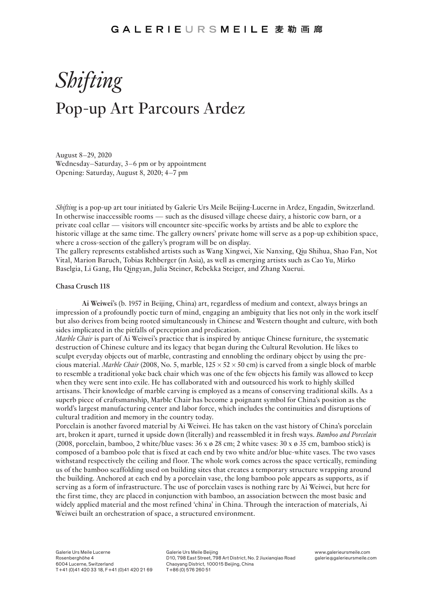# *Shifting* Pop-up Art Parcours Ardez

August 8–29, 2020 Wednesday–Saturday, 3–6 pm or by appointment Opening: Saturday, August 8, 2020; 4–7 pm

*Shifting* is a pop-up art tour initiated by Galerie Urs Meile Beijing-Lucerne in Ardez, Engadin, Switzerland. In otherwise inaccessible rooms — such as the disused village cheese dairy, a historic cow barn, or a private coal cellar — visitors will encounter site-specific works by artists and be able to explore the historic village at the same time. The gallery owners' private home will serve as a pop-up exhibition space, where a cross-section of the gallery's program will be on display.

The gallery represents established artists such as Wang Xingwei, Xie Nanxing, Qiu Shihua, Shao Fan, Not Vital, Marion Baruch, Tobias Rehberger (in Asia), as well as emerging artists such as Cao Yu, Mirko Baselgia, Li Gang, Hu Qingyan, Julia Steiner, Rebekka Steiger, and Zhang Xuerui.

# **Chasa Crusch 118**

**Ai Weiwei**'s (b. 1957 in Beijing, China) art, regardless of medium and context, always brings an impression of a profoundly poetic turn of mind, engaging an ambiguity that lies not only in the work itself but also derives from being rooted simultaneously in Chinese and Western thought and culture, with both sides implicated in the pitfalls of perception and predication.

*Marble Chair* is part of Ai Weiwei's practice that is inspired by antique Chinese furniture, the systematic destruction of Chinese culture and its legacy that began during the Cultural Revolution. He likes to sculpt everyday objects out of marble, contrasting and ennobling the ordinary object by using the precious material. *Marble Chair* (2008, No. 5, marble, 125 × 52 × 50 cm) is carved from a single block of marble to resemble a traditional yoke back chair which was one of the few objects his family was allowed to keep when they were sent into exile. He has collaborated with and outsourced his work to highly skilled artisans. Their knowledge of marble carving is employed as a means of conserving traditional skills. As a superb piece of craftsmanship, Marble Chair has become a poignant symbol for China's position as the world's largest manufacturing center and labor force, which includes the continuities and disruptions of cultural tradition and memory in the country today.

Porcelain is another favored material by Ai Weiwei. He has taken on the vast history of China's porcelain art, broken it apart, turned it upside down (literally) and reassembled it in fresh ways. *Bamboo and Porcelain* (2008, porcelain, bamboo, 2 white/blue vases:  $36 \times \emptyset$  28 cm; 2 white vases:  $30 \times \emptyset$  35 cm, bamboo stick) is composed of a bamboo pole that is fixed at each end by two white and/or blue-white vases. The two vases withstand respectively the ceiling and floor. The whole work comes across the space vertically, reminding us of the bamboo scaffolding used on building sites that creates a temporary structure wrapping around the building. Anchored at each end by a porcelain vase, the long bamboo pole appears as supports, as if serving as a form of infrastructure. The use of porcelain vases is nothing rare by Ai Weiwei, but here for the first time, they are placed in conjunction with bamboo, an association between the most basic and widely applied material and the most refined 'china' in China. Through the interaction of materials, Ai Weiwei built an orchestration of space, a structured environment.

Galerie Urs Meile Beijing D10, 798 East Street, 798 Art District, No. 2 Jiuxianqiao Road Chaoyang District, 100015 Beijing, China T +86 (0) 576 260 51

www.galerieursmeile.com galerie@galerieursmeile.com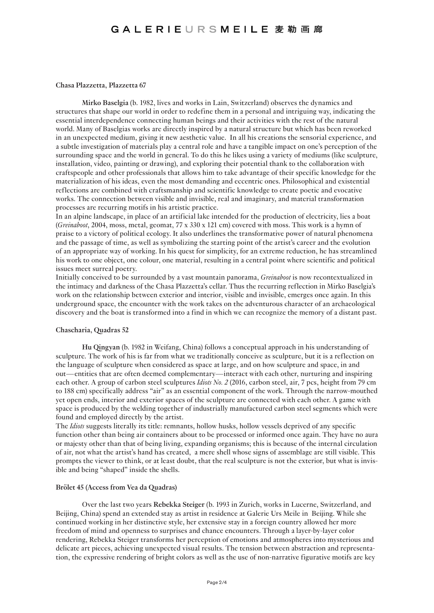# GALERIEURSMEILE 麦勒画廊

# **Chasa Plazzetta, Plazzetta 67**

**Mirko Baselgia** (b. 1982, lives and works in Lain, Switzerland) observes the dynamics and structures that shape our world in order to redefine them in a personal and intriguing way, indicating the essential interdependence connecting human beings and their activities with the rest of the natural world. Many of Baselgias works are directly inspired by a natural structure but which has been reworked in an unexpected medium, giving it new aesthetic value. In all his creations the sensorial experience, and a subtle investigation of materials play a central role and have a tangible impact on one's perception of the surrounding space and the world in general. To do this he likes using a variety of mediums (like sculpture, installation, video, painting or drawing), and exploring their potential thank to the collaboration with craftspeople and other professionals that allows him to take advantage of their specific knowledge for the materialization of his ideas, even the most demanding and eccentric ones. Philosophical and existential reflections are combined with craftsmanship and scientific knowledge to create poetic and evocative works. The connection between visible and invisible, real and imaginary, and material transformation processes are recurring motifs in his artistic practice.

In an alpine landscape, in place of an artificial lake intended for the production of electricity, lies a boat (*Greinaboot*, 2004, moss, metal, geomat, 77 x 330 x 121 cm) covered with moss. This work is a hymn of praise to a victory of political ecology. It also underlines the transformative power of natural phenomena and the passage of time, as well as symbolizing the starting point of the artist's career and the evolution of an appropriate way of working. In his quest for simplicity, for an extreme reduction, he has streamlined his work to one object, one colour, one material, resulting in a central point where scientific and political issues meet surreal poetry.

Initially conceived to be surrounded by a vast mountain panorama, *Greinaboot* is now recontextualized in the intimacy and darkness of the Chasa Plazzetta's cellar. Thus the recurring reflection in Mirko Baselgia's work on the relationship between exterior and interior, visible and invisible, emerges once again. In this underground space, the encounter with the work takes on the adventurous character of an archaeological discovery and the boat is transformed into a find in which we can recognize the memory of a distant past.

### **Chascharia, Quadras 52**

**Hu Qingyan** (b. 1982 in Weifang, China) follows a conceptual approach in his understanding of sculpture. The work of his is far from what we traditionally conceive as sculpture, but it is a reflection on the language of sculpture when considered as space at large, and on how sculpture and space, in and out—entities that are often deemed complementary—interact with each other, nurturing and inspiring each other. A group of carbon steel sculptures *Idiots No. 2* (2016, carbon steel, air, 7 pcs, height from 79 cm to 188 cm) specifically address "air" as an essential component of the work. Through the narrow-mouthed yet open ends, interior and exterior spaces of the sculpture are connected with each other. A game with space is produced by the welding together of industrially manufactured carbon steel segments which were found and employed directly by the artist.

The *Idiots* suggests literally its title: remnants, hollow husks, hollow vessels deprived of any specific function other than being air containers about to be processed or informed once again. They have no aura or majesty other than that of being living, expanding organisms; this is because of the internal circulation of air, not what the artist's hand has created, a mere shell whose signs of assemblage are still visible. This prompts the viewer to think, or at least doubt, that the real sculpture is not the exterior, but what is invisible and being "shaped" inside the shells.

#### **Brölet 45 (Access from Vea da Quadras)**

Over the last two years **Rebekka Steiger** (b. 1993 in Zurich, works in Lucerne, Switzerland, and Beijing, China) spend an extended stay as artist in residence at Galerie Urs Meile in Beijing. While she continued working in her distinctive style, her extensive stay in a foreign country allowed her more freedom of mind and openness to surprises and chance encounters. Through a layer-by-layer color rendering, Rebekka Steiger transforms her perception of emotions and atmospheres into mysterious and delicate art pieces, achieving unexpected visual results. The tension between abstraction and representation, the expressive rendering of bright colors as well as the use of non-narrative figurative motifs are key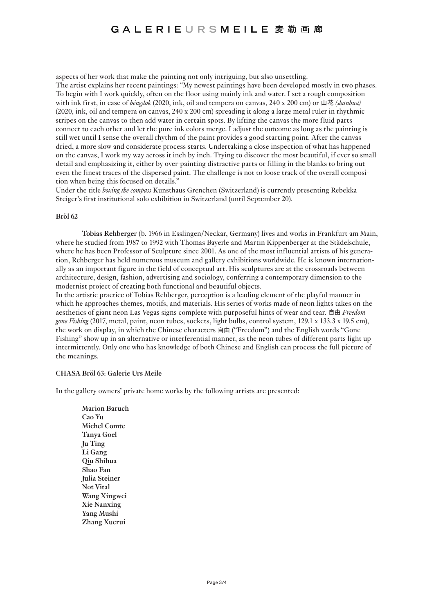aspects of her work that make the painting not only intriguing, but also unsettling.

The artist explains her recent paintings: "My newest paintings have been developed mostly in two phases. To begin with I work quickly, often on the floor using mainly ink and water. I set a rough composition with ink first, in case of *béngdok* (2020, ink, oil and tempera on canvas, 240 x 200 cm) or 山花 *(shanhua)* (2020, ink, oil and tempera on canvas, 240 x 200 cm) spreading it along a large metal ruler in rhythmic stripes on the canvas to then add water in certain spots. By lifting the canvas the more fluid parts connect to each other and let the pure ink colors merge. I adjust the outcome as long as the painting is still wet until I sense the overall rhythm of the paint provides a good starting point. After the canvas dried, a more slow and considerate process starts. Undertaking a close inspection of what has happened on the canvas, I work my way across it inch by inch. Trying to discover the most beautiful, if ever so small detail and emphasizing it, either by over-painting distractive parts or filling in the blanks to bring out even the finest traces of the dispersed paint. The challenge is not to loose track of the overall composition when being this focused on details."

Under the title *boxing the compass* Kunsthaus Grenchen (Switzerland) is currently presenting Rebekka Steiger's first institutional solo exhibition in Switzerland (until September 20).

# **Bröl 62**

**Tobias Rehberger** (b. 1966 in Esslingen/Neckar, Germany) lives and works in Frankfurt am Main, where he studied from 1987 to 1992 with Thomas Bayerle and Martin Kippenberger at the Städelschule, where he has been Professor of Sculpture since 2001. As one of the most influential artists of his generation, Rehberger has held numerous museum and gallery exhibitions worldwide. He is known internationally as an important figure in the field of conceptual art. His sculptures are at the crossroads between architecture, design, fashion, advertising and sociology, conferring a contemporary dimension to the modernist project of creating both functional and beautiful objects.

In the artistic practice of Tobias Rehberger, perception is a leading element of the playful manner in which he approaches themes, motifs, and materials. His series of works made of neon lights takes on the aesthetics of giant neon Las Vegas signs complete with purposeful hints of wear and tear. 自由 *Freedom gone Fishing* (2017, metal, paint, neon tubes, sockets, light bulbs, control system, 129.1 x 133.3 x 19.5 cm), the work on display, in which the Chinese characters 自由 ("Freedom") and the English words "Gone Fishing" show up in an alternative or interferential manner, as the neon tubes of different parts light up intermittently. Only one who has knowledge of both Chinese and English can process the full picture of the meanings.

# **CHASA Bröl 63: Galerie Urs Meile**

In the gallery owners' private home works by the following artists are presented:

**Marion Baruch Cao Yu Michel Comte Tanya Goel Ju Ting Li Gang Qiu Shihua Shao Fan Julia Steiner Not Vital Wang Xingwei Xie Nanxing Yang Mushi Zhang Xuerui**